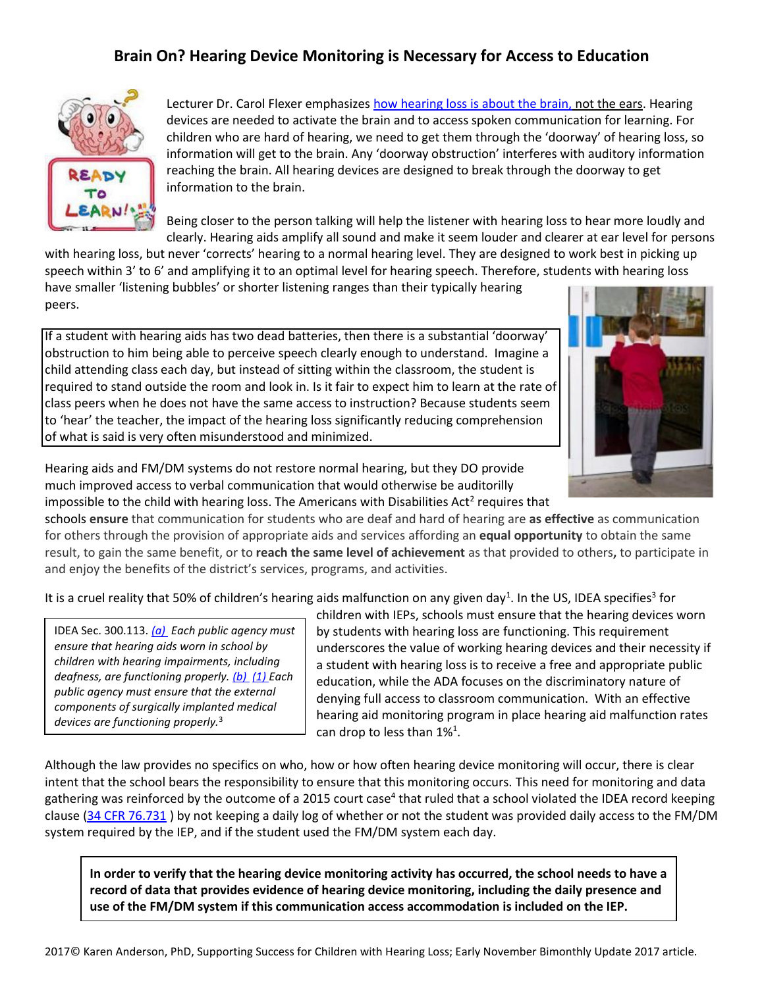## **Brain On? Hearing Device Monitoring is Necessary for Access to Education**



Lecturer Dr. Carol Flexer emphasizes [how hearing loss is about the brain,](https://www.youtube.com/watch?v=Dhl7Ink4elg) not the ears. Hearing devices are needed to activate the brain and to access spoken communication for learning. For children who are hard of hearing, we need to get them through the 'doorway' of hearing loss, so information will get to the brain. Any 'doorway obstruction' interferes with auditory information reaching the brain. All hearing devices are designed to break through the doorway to get information to the brain.

Being closer to the person talking will help the listener with hearing loss to hear more loudly and clearly. Hearing aids amplify all sound and make it seem louder and clearer at ear level for persons

with hearing loss, but never 'corrects' hearing to a normal hearing level. They are designed to work best in picking up speech within 3' to 6' and amplifying it to an optimal level for hearing speech. Therefore, students with hearing loss have smaller 'listening bubbles' or shorter listening ranges than their typically hearing peers.

If a student with hearing aids has two dead batteries, then there is a substantial 'doorway' obstruction to him being able to perceive speech clearly enough to understand. Imagine a child attending class each day, but instead of sitting within the classroom, the student is required to stand outside the room and look in. Is it fair to expect him to learn at the rate of class peers when he does not have the same access to instruction? Because students seem to 'hear' the teacher, the impact of the hearing loss significantly reducing comprehension of what is said is very often misunderstood and minimized.



Hearing aids and FM/DM systems do not restore normal hearing, but they DO provide much improved access to verbal communication that would otherwise be auditorilly impossible to the child with hearing loss. The Americans with Disabilities Act<sup>2</sup> requires that

schools **ensure** that communication for students who are deaf and hard of hearing are **as effective** as communication for others through the provision of appropriate aids and services affording an **equal opportunity** to obtain the same result, to gain the same benefit, or to **reach the same level of achievement** as that provided to others**,** to participate in and enjoy the benefits of the district's services, programs, and activities.

It is a cruel reality that 50% of children's hearing aids malfunction on any given day<sup>1</sup>. In the US, IDEA specifies<sup>3</sup> for

IDEA Sec. 300.113. *[\(a\)](http://idea.ed.gov/explore/view/p/%2Croot%2Cregs%2C300%2CB%2C300%252E113%2Ca%2C) Each public agency must ensure that hearing aids worn in school by children with hearing impairments, including deafness, are functioning properly. (b) [\(1\) E](http://idea.ed.gov/explore/view/p/%2Croot%2Cregs%2C300%2CB%2C300%252E113%2Cb%2C1%2C)ach public agency must ensure that the external components of surgically implanted medical devices are functioning properly.*3

children with IEPs, schools must ensure that the hearing devices worn by students with hearing loss are functioning. This requirement underscores the value of working hearing devices and their necessity if a student with hearing loss is to receive a free and appropriate public education, while the ADA focuses on the discriminatory nature of denying full access to classroom communication. With an effective hearing aid monitoring program in place hearing aid malfunction rates can drop to less than  $1\%^1$ .

Although the law provides no specifics on who, how or how often hearing device monitoring will occur, there is clear intent that the school bears the responsibility to ensure that this monitoring occurs. This need for monitoring and data gathering was reinforced by the outcome of a 2015 court case<sup>4</sup> that ruled that a school violated the IDEA record keeping clause [\(34 CFR 76.731](http://www.specialedconnection.com/LrpSecStoryTool/servlet/GetReg?cite=34+CFR+76.731) ) by not keeping a daily log of whether or not the student was provided daily access to the FM/DM system required by the IEP, and if the student used the FM/DM system each day.

**In order to verify that the hearing device monitoring activity has occurred, the school needs to have a record of data that provides evidence of hearing device monitoring, including the daily presence and use of the FM/DM system if this communication access accommodation is included on the IEP.**